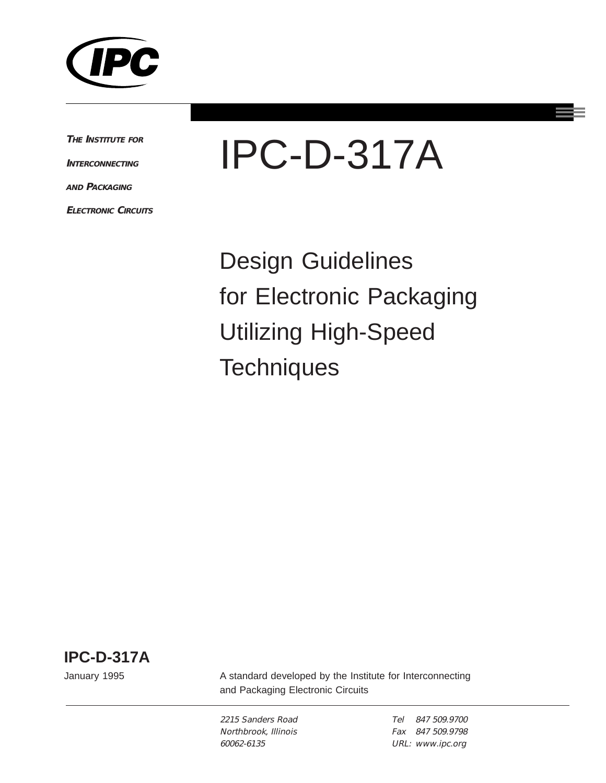

**THE INSTITUTE FOR**

**INTERCONNECTING**

**AND PACKAGING**

**ELECTRONIC CIRCUITS**



Design Guidelines for Electronic Packaging Utilizing High-Speed **Techniques** 

**IPC-D-317A**

January 1995

A standard developed by the Institute for Interconnecting and Packaging Electronic Circuits

2215 Sanders Road Northbrook, Illinois 60062-6135

Tel 847 509.9700 Fax 847 509.9798 URL: www.ipc.org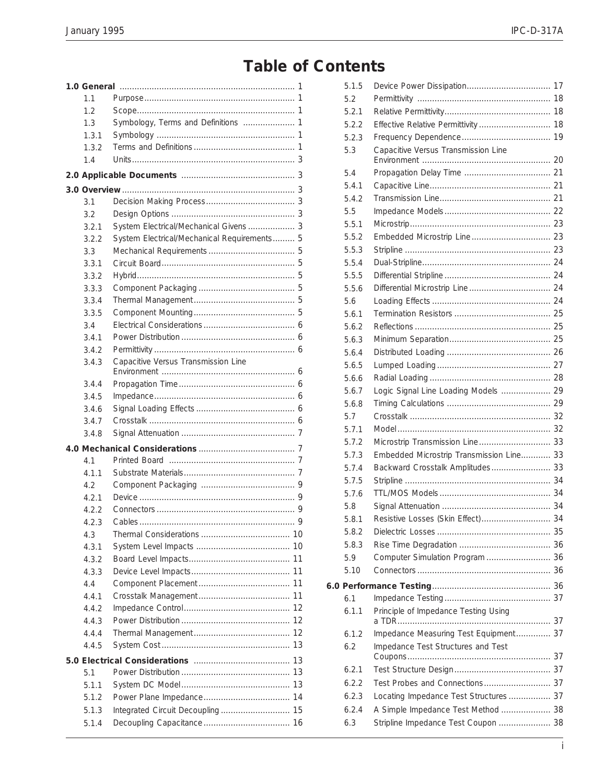## **Table of Contents**

| 1.1   |                                             |  |
|-------|---------------------------------------------|--|
| 1.2   |                                             |  |
| 1.3   | Symbology, Terms and Definitions  1         |  |
| 1.3.1 |                                             |  |
| 1.3.2 |                                             |  |
| 1.4   |                                             |  |
|       |                                             |  |
|       |                                             |  |
| 3.1   |                                             |  |
| 3.2   |                                             |  |
| 3.2.1 | System Electrical/Mechanical Givens  3      |  |
| 3.2.2 | System Electrical/Mechanical Requirements 5 |  |
| 3.3   |                                             |  |
| 3.3.1 |                                             |  |
| 3.3.2 |                                             |  |
| 3.3.3 |                                             |  |
| 3.3.4 |                                             |  |
| 3.3.5 |                                             |  |
| 34    |                                             |  |
| 3.4.1 |                                             |  |
| 3.4.2 |                                             |  |
| 3.4.3 | Capacitive Versus Transmission Line         |  |
| 3.4.4 |                                             |  |
| 3.4.5 |                                             |  |
| 3.4.6 |                                             |  |
| 3.4.7 |                                             |  |
| 3.4.8 |                                             |  |
|       |                                             |  |
| 4.1   |                                             |  |
| 4.1.1 |                                             |  |
| 4.2   |                                             |  |
| 4.2.1 |                                             |  |
| 4.2.2 |                                             |  |
| 423   | 9<br>Cables                                 |  |
| 4.3   |                                             |  |
| 4.3.1 |                                             |  |
| 4.3.2 |                                             |  |
| 4.3.3 |                                             |  |
| 4.4   |                                             |  |
| 4.4.1 |                                             |  |
| 4.4.2 |                                             |  |
| 4.4.3 |                                             |  |
| 4.4.4 |                                             |  |
| 4.4.5 |                                             |  |
| 13    |                                             |  |
| 5.1   | 13                                          |  |
| 5.1.1 | 13                                          |  |
| 5.1.2 |                                             |  |
| 5.1.3 | Integrated Circuit Decoupling 15            |  |
| 5.1.4 |                                             |  |

| 5.1.5        |                                               |  |
|--------------|-----------------------------------------------|--|
| 5.2          |                                               |  |
| 5.2.1        |                                               |  |
| 5.2.2        | Effective Relative Permittivity  18           |  |
| 5.2.3        |                                               |  |
| 5.3          | Capacitive Versus Transmission Line           |  |
|              |                                               |  |
| 5.4          |                                               |  |
| 5.4.1        |                                               |  |
| 5.4.2        |                                               |  |
| 5.5          |                                               |  |
| 5.5.1        |                                               |  |
| 5.5.2        |                                               |  |
| 5.5.3        |                                               |  |
| 5.5.4        |                                               |  |
| 5.5.5        |                                               |  |
| 5.5.6        |                                               |  |
| 5.6          |                                               |  |
| 5.6.1        |                                               |  |
| 5.6.2        |                                               |  |
| 5.6.3        |                                               |  |
| 5.6.4        |                                               |  |
| 5.6.5        |                                               |  |
| 5.6.6        |                                               |  |
| 5.6.7        | Logic Signal Line Loading Models  29          |  |
| 5.6.8        |                                               |  |
| 5.7          |                                               |  |
| 5.7.1        |                                               |  |
| 5.7.2        | Microstrip Transmission Line 33               |  |
| 5.7.3        | Embedded Microstrip Transmission Line 33      |  |
| 5.7.4        | Backward Crosstalk Amplitudes 33              |  |
| 5.7.5        |                                               |  |
| 5.7.6        |                                               |  |
| 5.8          |                                               |  |
| 5.8.1        | Resistive Losses (Skin Effect)  34            |  |
| 5.8.2        |                                               |  |
| 5.8.3<br>5.9 | Computer Simulation Program  36               |  |
| 5.10         |                                               |  |
|              |                                               |  |
|              |                                               |  |
| 6.1          |                                               |  |
| 6.1.1        | Principle of Impedance Testing Using<br>a TDR |  |
| 6.1.2        | Impedance Measuring Test Equipment 37         |  |
| 6.2          | Impedance Test Structures and Test            |  |
|              |                                               |  |
| 6.2.1        |                                               |  |
| 6.2.2        |                                               |  |
| 6.2.3        | Locating Impedance Test Structures 37         |  |
| 6.2.4        | A Simple Impedance Test Method  38            |  |
| 6.3          | Stripline Impedance Test Coupon  38           |  |
|              |                                               |  |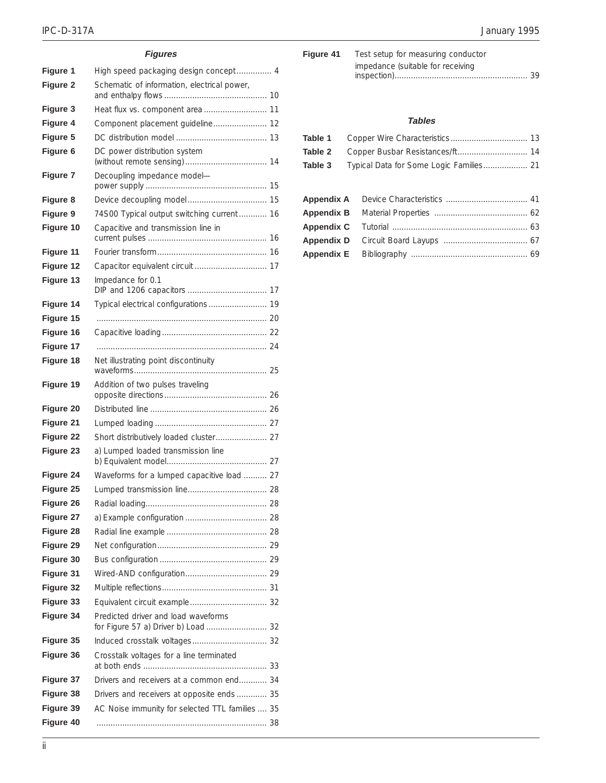### **Figures**

| Figure 1        | High speed packaging design concept 4                                      |  |
|-----------------|----------------------------------------------------------------------------|--|
| Figure 2        | Schematic of information, electrical power,                                |  |
|                 |                                                                            |  |
| <b>Figure 3</b> | Heat flux vs. component area  11                                           |  |
| Figure 4        | Component placement guideline 12                                           |  |
| Figure 5        |                                                                            |  |
| Figure 6        | DC power distribution system                                               |  |
| Figure 7        | Decoupling impedance model-                                                |  |
| Figure 8        |                                                                            |  |
| Figure 9        | 74S00 Typical output switching current  16                                 |  |
| Figure 10       | Capacitive and transmission line in                                        |  |
| Figure 11       |                                                                            |  |
| Figure 12       |                                                                            |  |
| Figure 13       | Impedance for 0.1                                                          |  |
| Figure 14       | Typical electrical configurations  19                                      |  |
| Figure 15       |                                                                            |  |
| Figure 16       |                                                                            |  |
| Figure 17       |                                                                            |  |
| Figure 18       | Net illustrating point discontinuity                                       |  |
| Figure 19       | Addition of two pulses traveling                                           |  |
| Figure 20       |                                                                            |  |
| Figure 21       |                                                                            |  |
| Figure 22       | Short distributively loaded cluster 27                                     |  |
| Figure 23       | a) Lumped loaded transmission line                                         |  |
| Figure 24       | Waveforms for a lumped capacitive load  27                                 |  |
| Figure 25       |                                                                            |  |
| Figure 26       |                                                                            |  |
| Figure 27       |                                                                            |  |
| Figure 28       |                                                                            |  |
| Figure 29       |                                                                            |  |
| Figure 30       |                                                                            |  |
| Figure 31       |                                                                            |  |
| Figure 32       |                                                                            |  |
| Figure 33       |                                                                            |  |
| Figure 34       | Predicted driver and load waveforms<br>for Figure 57 a) Driver b) Load  32 |  |
| Figure 35       |                                                                            |  |
| Figure 36       | Crosstalk voltages for a line terminated                                   |  |
| Figure 37       | Drivers and receivers at a common end 34                                   |  |
| Figure 38       | Drivers and receivers at opposite ends 35                                  |  |
| Figure 39       | AC Noise immunity for selected TTL families  35                            |  |
| Figure 40       |                                                                            |  |
|                 |                                                                            |  |

| Figure 41 | Test setup for measuring conductor |  |
|-----------|------------------------------------|--|
|           | impedance (suitable for receiving  |  |
|           |                                    |  |

### **Tables**